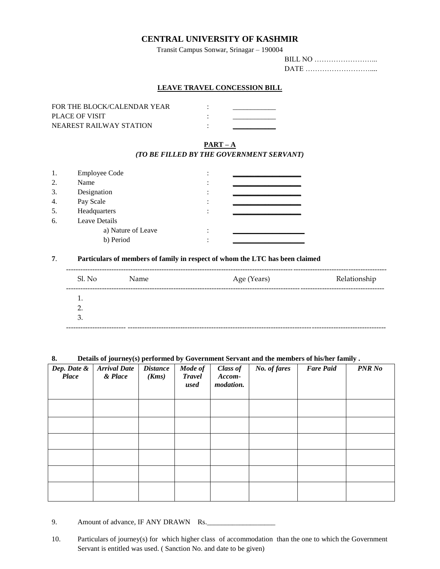### **CENTRAL UNIVERSITY OF KASHMIR**

Transit Campus Sonwar, Srinagar – 190004

#### **LEAVE TRAVEL CONCESSION BILL**

| FOR THE BLOCK/CALENDAR YEAR |  |
|-----------------------------|--|
| PLACE OF VISIT              |  |
| NEAREST RAILWAY STATION     |  |

## **PART – A**

#### *(TO BE FILLED BY THE GOVERNMENT SERVANT)*

| 1. | <b>Employee Code</b> |  |
|----|----------------------|--|
| 2. | Name                 |  |
| 3. | Designation          |  |
| 4. | Pay Scale            |  |
| 5. | Headquarters         |  |
| 6. | Leave Details        |  |
|    | a) Nature of Leave   |  |
|    | b) Period            |  |

#### **7**. **Particulars of members of family in respect of whom the LTC has been claimed**

| Sl. No | Name | Age (Years) | Relationship |
|--------|------|-------------|--------------|
| 1.     |      |             |              |
| 2.     |      |             |              |
| 3.     |      |             |              |

#### **8. Details of journey(s) performed by Government Servant and the members of his/her family .**

| Dep. Date &<br><b>Place</b> | <b>Arrival Date</b><br>& Place | <b>Distance</b><br>(Kms) | Mode of<br><b>Travel</b><br>used | Class of<br>Accom-<br>modation. | No. of fares | <b>Fare Paid</b> | <b>PNR No</b> |
|-----------------------------|--------------------------------|--------------------------|----------------------------------|---------------------------------|--------------|------------------|---------------|
|                             |                                |                          |                                  |                                 |              |                  |               |
|                             |                                |                          |                                  |                                 |              |                  |               |
|                             |                                |                          |                                  |                                 |              |                  |               |
|                             |                                |                          |                                  |                                 |              |                  |               |
|                             |                                |                          |                                  |                                 |              |                  |               |
|                             |                                |                          |                                  |                                 |              |                  |               |

9. Amount of advance, IF ANY DRAWN Rs.

10. Particulars of journey(s) for which higher class of accommodation than the one to which the Government Servant is entitled was used. ( Sanction No. and date to be given)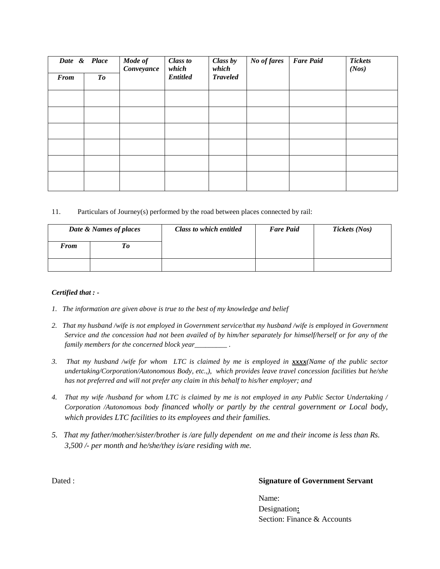| <b>From</b> | Date & Place<br>To | Mode of<br>Conveyance | <b>Class to</b><br>which<br><b>Entitled</b> | Class by<br>which<br><b>Traveled</b> | No of fares | <b>Fare Paid</b> | <b>Tickets</b><br>(Nos) |
|-------------|--------------------|-----------------------|---------------------------------------------|--------------------------------------|-------------|------------------|-------------------------|
|             |                    |                       |                                             |                                      |             |                  |                         |
|             |                    |                       |                                             |                                      |             |                  |                         |
|             |                    |                       |                                             |                                      |             |                  |                         |
|             |                    |                       |                                             |                                      |             |                  |                         |
|             |                    |                       |                                             |                                      |             |                  |                         |
|             |                    |                       |                                             |                                      |             |                  |                         |

#### 11. Particulars of Journey(s) performed by the road between places connected by rail:

| Date & Names of places |  | Class to which entitled | <b>Fare Paid</b> | Tickets (Nos) |
|------------------------|--|-------------------------|------------------|---------------|
| <b>From</b>            |  |                         |                  |               |
|                        |  |                         |                  |               |

#### *Certified that : -*

- *1. The information are given above is true to the best of my knowledge and belief*
- 2. That my husband /wife is not employed in Government service/that my husband /wife is employed in Government *Service and the concession had not been availed of by him/her separately for himself/herself or for any of the family members for the concerned block year\_\_\_\_\_\_\_\_\_ .*
- *3. That my husband /wife for whom LTC is claimed by me is employed in xxxx(Name of the public sector undertaking/Corporation/Autonomous Body, etc.,), which provides leave travel concession facilities but he/she has not preferred and will not prefer any claim in this behalf to his/her employer; and*
- *4. That my wife /husband for whom LTC is claimed by me is not employed in any Public Sector Undertaking / Corporation /Autonomous body financed wholly or partly by the central government or Local body, which provides LTC facilities to its employees and their families.*
- *5. That my father/mother/sister/brother is /are fully dependent on me and their income is less than Rs. 3,500 /- per month and he/she/they is/are residing with me.*

#### Dated : **Signature of Government Servant**

Name: Designation**:**  Section: Finance & Accounts